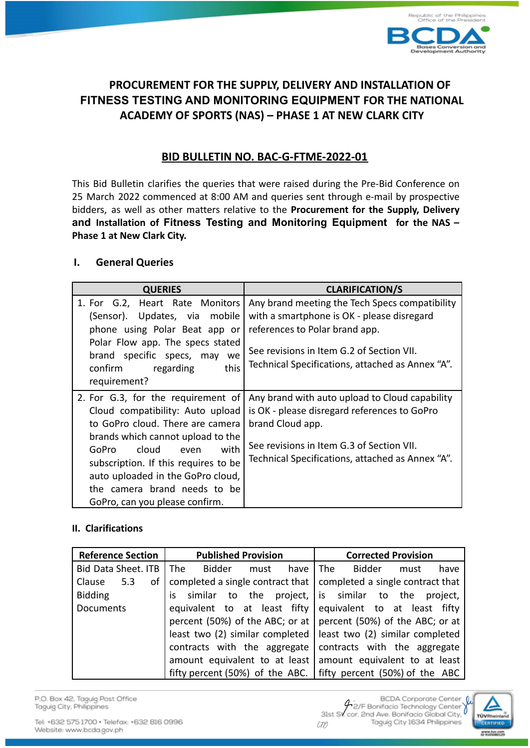

# **PROCUREMENT FOR THE SUPPLY, DELIVERY AND INSTALLATION OF FITNESS TESTING AND MONITORING EQUIPMENT FOR THE NATIONAL ACADEMY OF SPORTS (NAS) – PHASE 1 AT NEW CLARK CITY**

## **BID BULLETIN NO. BAC-G-FTME-2022-01**

This Bid Bulletin clarifies the queries that were raised during the Pre-Bid Conference on 25 March 2022 commenced at 8:00 AM and queries sent through e-mail by prospective bidders, as well as other matters relative to the **Procurement for the Supply, Delivery and Installation of Fitness Testing and Monitoring Equipment for the NAS – Phase 1 at New Clark City.**

## **I. General Queries**

| <b>QUERIES</b>                                                                                                                                                                                                                                                                                                                          | <b>CLARIFICATION/S</b>                                                                                                                                                                                                          |
|-----------------------------------------------------------------------------------------------------------------------------------------------------------------------------------------------------------------------------------------------------------------------------------------------------------------------------------------|---------------------------------------------------------------------------------------------------------------------------------------------------------------------------------------------------------------------------------|
| 1. For G.2, Heart Rate Monitors<br>(Sensor). Updates, via mobile<br>phone using Polar Beat app or<br>Polar Flow app. The specs stated<br>brand specific specs, may we<br>this<br>confirm<br>regarding<br>requirement?                                                                                                                   | Any brand meeting the Tech Specs compatibility<br>with a smartphone is OK - please disregard<br>references to Polar brand app.<br>See revisions in Item G.2 of Section VII.<br>Technical Specifications, attached as Annex "A". |
| 2. For G.3, for the requirement of<br>Cloud compatibility: Auto upload<br>to GoPro cloud. There are camera<br>brands which cannot upload to the<br>cloud<br>with<br><b>GoPro</b><br>even<br>subscription. If this requires to be<br>auto uploaded in the GoPro cloud,<br>the camera brand needs to be<br>GoPro, can you please confirm. | Any brand with auto upload to Cloud capability<br>is OK - please disregard references to GoPro<br>brand Cloud app.<br>See revisions in Item G.3 of Section VII.<br>Technical Specifications, attached as Annex "A".             |

## **II. Clarifications**

| <b>Reference Section</b> | <b>Published Provision</b>    | <b>Corrected Provision</b>                                          |
|--------------------------|-------------------------------|---------------------------------------------------------------------|
| Bid Data Sheet. ITB      | The<br>Bidder<br>have<br>must | The<br>Bidder<br>have<br>must                                       |
| οf<br>Clause<br>5.3      |                               | completed a single contract that   completed a single contract that |
| <b>Bidding</b>           |                               | is similar to the project, is similar to the project,               |
| <b>Documents</b>         | equivalent to at least fifty  | equivalent to at least fifty                                        |
|                          |                               | percent (50%) of the ABC; or at $ $ percent (50%) of the ABC; or at |
|                          |                               | least two (2) similar completed   least two (2) similar completed   |
|                          | contracts with the aggregate  | contracts with the aggregate                                        |
|                          |                               | amount equivalent to at least amount equivalent to at least         |
|                          |                               | fifty percent (50%) of the ABC.   fifty percent (50%) of the ABC    |

P.O. Box 42, Taguig Post Office Taguig City, Philippines